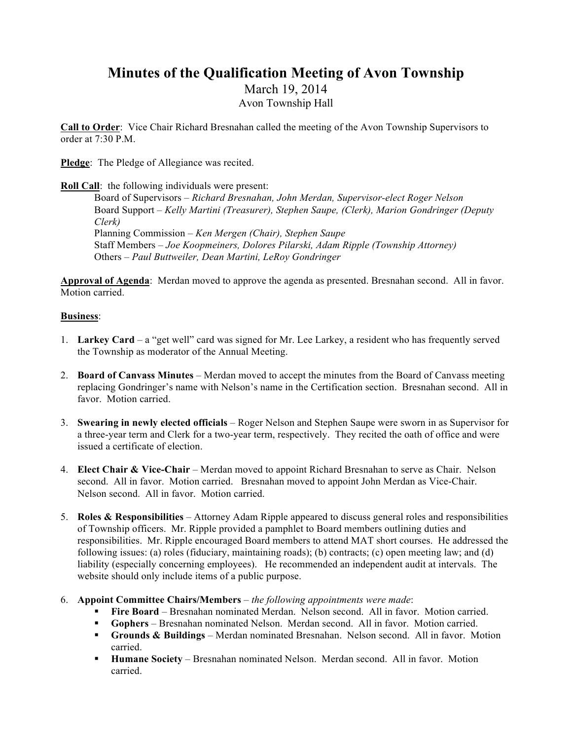## **Minutes of the Qualification Meeting of Avon Township**

March 19, 2014

Avon Township Hall

**Call to Order**: Vice Chair Richard Bresnahan called the meeting of the Avon Township Supervisors to order at 7:30 P.M.

**Pledge**: The Pledge of Allegiance was recited.

**Roll Call**: the following individuals were present:

Board of Supervisors *– Richard Bresnahan, John Merdan, Supervisor-elect Roger Nelson* Board Support – *Kelly Martini (Treasurer), Stephen Saupe, (Clerk), Marion Gondringer (Deputy Clerk)*  Planning Commission *– Ken Mergen (Chair), Stephen Saupe* Staff Members *– Joe Koopmeiners, Dolores Pilarski, Adam Ripple (Township Attorney)* Others – *Paul Buttweiler, Dean Martini, LeRoy Gondringer*

**Approval of Agenda**: Merdan moved to approve the agenda as presented. Bresnahan second. All in favor. Motion carried.

## **Business**:

- 1. **Larkey Card**  a "get well" card was signed for Mr. Lee Larkey, a resident who has frequently served the Township as moderator of the Annual Meeting.
- 2. **Board of Canvass Minutes** Merdan moved to accept the minutes from the Board of Canvass meeting replacing Gondringer's name with Nelson's name in the Certification section. Bresnahan second. All in favor. Motion carried.
- 3. **Swearing in newly elected officials** Roger Nelson and Stephen Saupe were sworn in as Supervisor for a three-year term and Clerk for a two-year term, respectively. They recited the oath of office and were issued a certificate of election.
- 4. **Elect Chair & Vice-Chair** Merdan moved to appoint Richard Bresnahan to serve as Chair. Nelson second. All in favor. Motion carried. Bresnahan moved to appoint John Merdan as Vice-Chair. Nelson second. All in favor. Motion carried.
- 5. **Roles & Responsibilities** Attorney Adam Ripple appeared to discuss general roles and responsibilities of Township officers. Mr. Ripple provided a pamphlet to Board members outlining duties and responsibilities. Mr. Ripple encouraged Board members to attend MAT short courses. He addressed the following issues: (a) roles (fiduciary, maintaining roads); (b) contracts; (c) open meeting law; and (d) liability (especially concerning employees). He recommended an independent audit at intervals. The website should only include items of a public purpose.
- 6. **Appoint Committee Chairs/Members** *the following appointments were made*:
	- **Fire Board** Bresnahan nominated Merdan. Nelson second. All in favor. Motion carried.
	- **Gophers** Bresnahan nominated Nelson. Merdan second. All in favor. Motion carried.
	- **Grounds & Buildings** Merdan nominated Bresnahan. Nelson second. All in favor. Motion carried.
	- **Humane Society** Bresnahan nominated Nelson. Merdan second. All in favor. Motion carried.